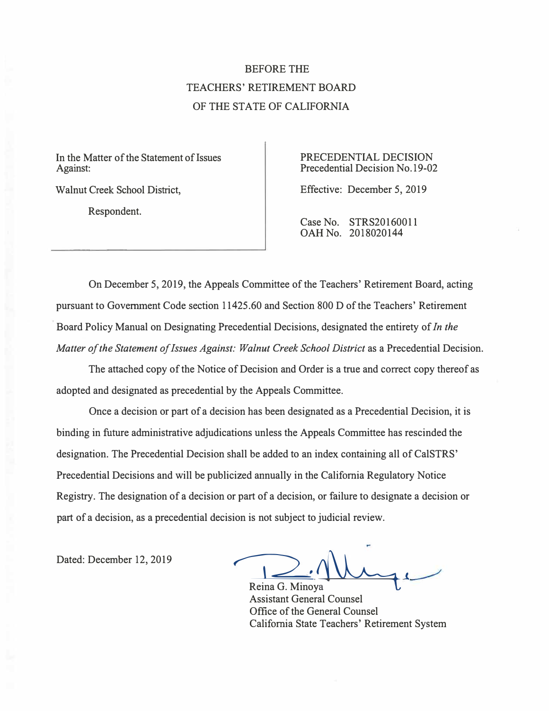# BEFORE THE TEACHERS' RETIREMENT BOARD OF THE STATE OF CALIFORNIA

In the Matter of the Statement of Issues PRECEDENTIAL DECISION Against: Precedential Decision No.19-02

Respondent.

Walnut Creek School District, Effective: December 5, 2019

Case No. STRS20160011 OAH No. 2018020144

On December 5, 2019, the Appeals Committee of the Teachers' Retirement Board, acting pursuant to Government Code section [11425.60](https://11425.60) and Section 800 D of the Teachers' Retirement Board Policy Manual on Designating Precedential Decisions, designated the entirety of *In the Matter of the Statement of Issues Against: Walnut Creek School District* as a Precedential Decision.

The attached copy of the Notice of Decision and Order is a true and correct copy thereof as adopted and designated as precedential by the Appeals Committee.

Once a decision or part of a decision has been designated as a Precedential Decision, it is binding in future administrative adjudications unless the Appeals Committee has rescinded the designation. The Precedential Decision shall be added to an index containing all of CalSTRS' Precedential Decisions and will be publicized annually in the California Regulatory Notice Registry. The designation of a decision or part of a decision, or failure to designate a decision or part of a decision, as a precedential decision is not subject to judicial review.

Dated: December 12, 2019

D.Nuge

Reina G. Minoya Assistant General Counsel Office of the General Counsel California State Teachers' Retirement System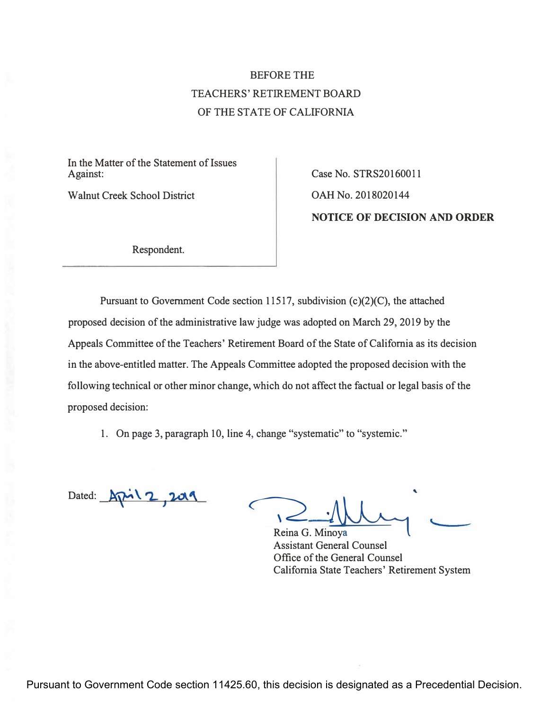# BEFORE THE TEACHERS' RETIREMENT BOARD OF THE STATE OF CALIFORNIA

In the Matter of the Statement of Issues Against: Case No. STRS20160011

Walnut Creek School District Case CAH No. 2018020144

**NOTICE OF DECISION AND ORDER** 

Respondent.

Pursuant to Government Code section 11517, subdivision  $(c)(2)(C)$ , the attached proposed decision of the administrative law judge was adopted on March 29, 2019 by the Appeals Committee of the Teachers' Retirement Board of the State of California as its decision in the above-entitled matter. The Appeals Committee adopted the proposed decision with the following technical or other minor change, which do not affect the factual or legal basis of the proposed decision:

1. On page 3, paragraph 10, line 4, change "systematic" to "systemic."

Dated:  $Ar^{-1}2,20$ 

Reina G. Minoya Assistant General Counsel Office of the General Counsel California State Teachers' Retirement System

Pursuant to Government Code section 11425.60, this decision is designated as a Precedential Decision.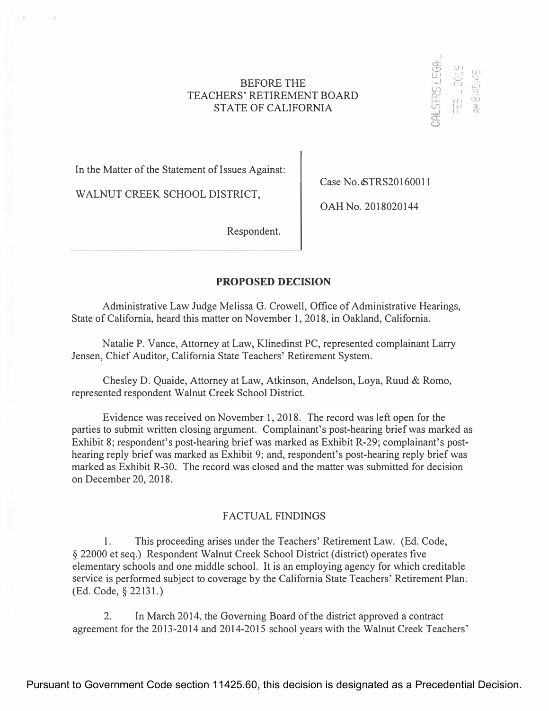# **BEFORE THE TEACHERS' RETIREMENT BOARD STATE OF CALIFORNIA**

**In the Matter of the Statement of Issues Against:** 

**WALNUT CREEK SCHOOL DISTRICT,** 

**Case No.eSTRS20160011** 

WESTER LEA

FEB 1 2019

S3525

**OAH No. 2018020144** 

**Respondent.** 

# **PROPOSED DECISION**

**Administrative Law Judge Melissa G. Crowell, Office of Administrative Hearings, State of California, heard this matter on November 1, 2018, in Oakland, California.** 

**Natalie P. Vance, Attorney at Law, Klinedinst PC, represented complainant Larry Jensen, Chief Auditor, California State Teachers' Retirement System.** 

**Chesley D. Quaide, Attorney at Law, Atkinson, Andelson, Loya, Ruud & Romo, represented respondent Walnut Creek School District.** 

**Evidence was received on November 1, 2018. The record was left open for the parties to submit written closing argument. Complainant's post-hearing brief was marked as**  Exhibit 8; respondent's post-hearing brief was marked as Exhibit R-29; complainant's post**hearing reply brief was marked as Exhibit 9; and, respondent's post-hearing reply brief was marked as Exhibit R-30. The record was closed and the matter was submitted for decision on December 20, 2018.** 

# **FACTUAL FINDINGS**

**1. This proceeding arises under the Teachers' Retirement Law. (Ed. Code, § 22000 et seq.) Respondent Walnut Creek School District (district) operates five elementary schools and one middle school. It is an employing agency for which creditable service is performed subject to coverage by the California State Teachers' Retirement Plan. (Ed. Code,§ 22131.)** 

**2. In March 2014, the Governing Board of the district approved a contract agreement for the 2013-2014 and 2014-2015 school years with the Walnut Creek Teachers'**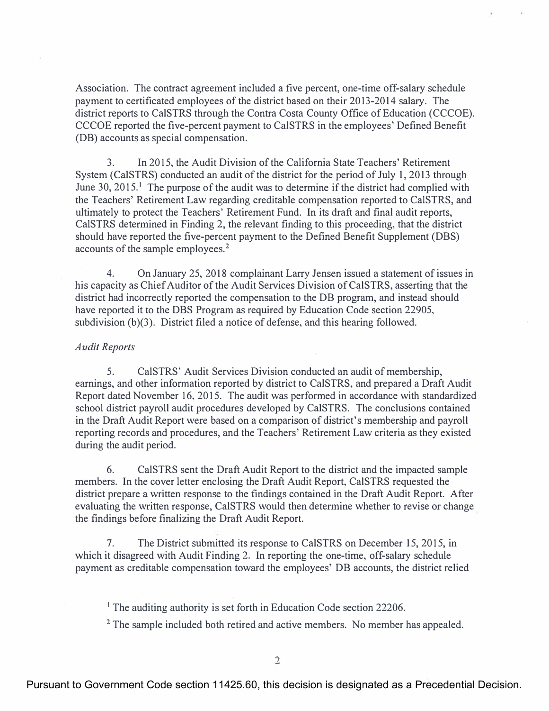**Association. The contract agreement included a five percent, one-time off-salary schedule payment to certificated employees of the district based on their 2013-2014 salary. The district reports to CalSTRS through the Contra Costa County Office of Education (CCCOE). CCCOE reported the five-percent payment to CalSTRS in the employees' Defined Benefit (DB) accounts as special compensation.** 

**3. In 2015, the Audit Division of the California State Teachers' Retirement System (CalSTRS) conducted an audit of the district for the period of July 1, 2013 through June 30, 2015.**<sup>1</sup>**The purpose of the audit was to determine if the district had complied with the Teachers' Retirement Law regarding creditable compensation reported to CalSTRS, and ultimately to protect the Teachers' Retirement Fund. In its draft and final audit reports, CalSTRS determined in Finding 2, the relevant finding to this proceeding, that the district should have reported the five-percent payment to the Defined Benefit Supplement (DBS) accounts of the sample employees.** <sup>2</sup>

**4. On January 25, 2018 complainant Larry Jensen issued a statement of issues in his capacity as Chief Auditor of the Audit Services Division of CalSTRS, asserting that the district had incorrectly reported the compensation to the DB program, and instead should have reported it to the DBS Program as required by Education Code section 22905,**  subdivision (b)(3). District filed a notice of defense, and this hearing followed.

# *Audit Reports*

**5. CalSTRS' Audit Services Division conducted an audit of membership, earnings, and other information reported by district to CalSTRS, and prepared a Draft Audit Report dated November 16, 2015. The audit was performed in accordance with standardized school district payroll audit procedures developed by CalSTRS. The conclusions contained in the Draft Audit Report were based on a comparison of district's membership and payroll reporting records and procedures, and the Teachers' Retirement Law criteria as they existed during the audit period.** 

**6. CalSTRS sent the Draft Audit Report to the district and the impacted sample members. In the cover letter enclosing the Draft Audit Report, CalSTRS requested the district prepare a written response to the findings contained in the Draft Audit Report. After evaluating the written response, CalSTRS would then determine whether to revise or change the findings before finalizing the Draft Audit Report.** 

**7. The District submitted its response to CalSTRS on December 15, 2015, in which it disagreed with Audit Finding 2. In reporting the one-time, off-salary schedule payment as creditable compensation toward the employees' DB accounts, the district relied** 

<sup>1</sup>**The auditing authority is set forth in Education Code section 22206.** 

<sup>2</sup>**The sample included both retired and active members. No member has appealed.** 

Pursuant to Government Code section 11425.60, this decision is designated as a Precedential Decision.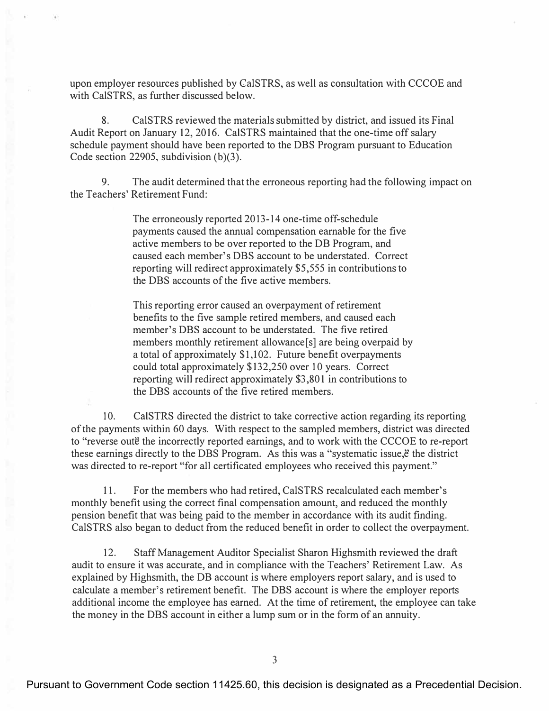**upon employer resources published by CalSTRS, as well as consultation with CCCOE and**  with CalSTRS, as further discussed below.

**8. CalSTRS reviewed the materials submitted by district, and issued its Final Audit Report on January 12, 2016. CalSTRS maintained that the one-time off sal**ary **schedule payment should have been reported to the DBS Program pursuant to Education Code section 22905, subdivision (b)(3).** 

**9. The audit determined that the erroneous reporting had the following impact on the Teachers' Retirement Fund:** 

> The erroneously reported 2013-14 one-time off-schedule **payments caused the annual compensation earnable for the five**  active members to be over reported to the DB Program, and **caused each member's DBS account to be understated. Correct reporting will redirect approximately \$5,555 in contributions to the DBS accounts of the five active members.**

**This reporting error caused an overpayment of retirement benefits to the five sample retired members, and caused each**  member's DBS account to be understated. The five retired **members monthly retirement allowance[s] are being overpaid by a total of approximately \$1,102. Future benefit overpayments could total approximately \$132,250 over 10 years. Correct reporting will redirect approximately \$3,801 in contributions to the DBS accounts of the five retired members.** 

**10. CalSTRS directed the district to take corrective action regarding its reporting of the payments within 60 days. With respect to the sampled members, district was directed**  to "reverse oute the incorrectly reported earnings, and to work with the CCCOE to re-report these earnings directly to the DBS Program. As this was a "systematic issue, $\ddot{\epsilon}$  the district **was directed to re-report "for all certificated employees who received this payment."** 

**11. For the members who had retired, CalSTRS recalculated each member's monthly benefit using the correct final compensation amount, and reduced the monthly pension benefit that was being paid to the member in accordance with its audit finding. CalSTRS also began to deduct from the reduced benefit in order to collect the overpayment.** 

**12. Staff Management Auditor Specialist Sharon Highsmith reviewed the draft audit to ensure it was accurate, and in compliance with the Teachers' Retirement Law. As explained by Highsmith, the DB account is where employers report salary, and is used to calculate a member's retirement benefit. The DBS account is where the employer reports additional income the employee has earned. At the time of retirement, the employee can take the money in the DBS account in either a lump sum or in the form of an annuity.**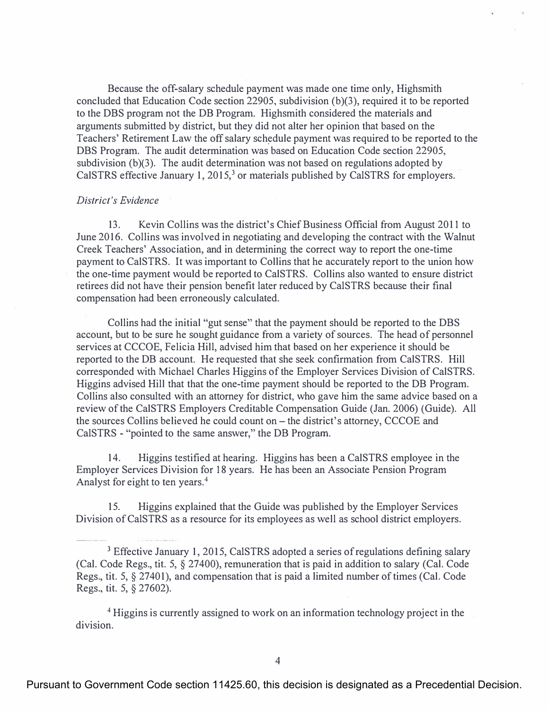**Because the off-salary schedule payment was made one time only, Highsmith concluded that Education Code section 22905, subdivision (b)(3), required it to be reported to the DBS program not the DB Program. Highsmith considered the materials and arguments submitted by district, but they did not alter her opinion that based on the**  Teachers' Retirement Law the off salary schedule payment was required to be reported to the **DBS Program. The audit determination was based on Education Code section 22905, subdivision (b)(3). The audit determination was not based on regulations adopted by CalSTRS effective January 1, 2015,<sup>3</sup>or materials published by CalSTRS for employers.** 

### *District's Evidence*

**13. Kevin Collins was the district's Chief Business Official from August 2011 to June 2016. Collins was involved in negotiating and developing the contract with the Walnut Creek Teachers' Association, and in determining the correct way to report the one-time payment to CalSTRS. It was important to Collins that he accurately report to the union how the one-time payment would be reported to CalSTRS. Collins a\_lso wanted to ensure district retirees did not have their pension benefit later reduced by CalSTRS because their final compensation had been erroneously calculated.** 

**Collins had the initial "gut sense" that the payment should be reported to the DBS account, but to be sure he sought guidance from a variety of sources. The head of personnel services at CCCOE, Felicia Hill, advised him that based on her experience it should be reported to the DB account. He requested that she seek confirmation from CalSTRS. Hill corresponded with Michael Charles Higgins of the Employer Services Division of CalSTRS. Higgins advised Hill that that the one-time payment should be reported to the DB Program. Collins also consulted with an attorney for district, who gave him the same advice based on a review of the CalSTRS Employers Creditable Compensation Guide (Jan. 2006) (Guide). All the sources Collins believed he could count on- the district's attorney, CCCOE and CalSTRS - "pointed to the same answer," the DB Program.** 

**14. Higgins testified at hearing. Higgins has been a CalSTRS employee in the Employer Services Division for 18 years. He has been an Associate Pension Program Analyst for eight to ten years.** <sup>4</sup>

**15. Higgins explained that the Guide was published by the Employer Services Division of CalSTRS as a resource for its employees as well as school district employers.** 

<sup>4</sup>**Higgins is currently assigned to work on an information technology project in the division.** 

<sup>3</sup>**Effective January 1, 2015, CalSTRS adopted a series ofregulations defining salary (Cal. Code Regs., tit. 5, § 27400), remuneration that is paid in addition to salary (Cal. Code Regs., tit. 5,** *§* **27401), and compensation that is paid a limited number of times (Cal. Code Regs., tit. 5,** *§* **27602).**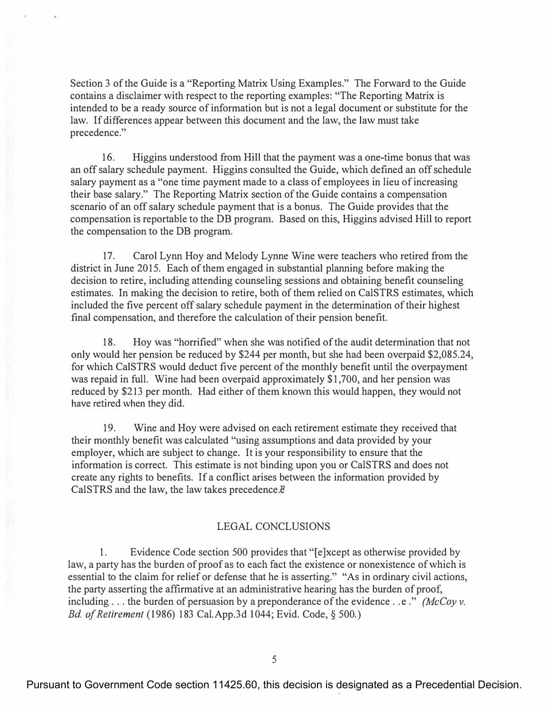**Section 3 of the Guide is a "Reporting Matrix Using Examples." The Forward to the Guide contains a disclaimer with respect to the reporting examples: "The Reporting Matrix is intended to be a ready source of information but is not a legal document or substitute for the law. If differences appear between this document and the law, the law must take precedence."** 

**16. Higgins understood from Hill that the payment was a one-time bonus that was an off salary schedule payment. Higgins consulted the Guide, which defined an off schedule salary payment as a "one time payment made to a class of employees in lieu of increasing their base salary." The Reporting Matrix section of the Guide contains a compensation scenario of an off salary schedule payment that is a bonus. The Guide provides that the**  compensation is reportable to the DB program. Based on this, Higgins advised Hill to report **the compensation to the DB program.** 

**17. Carol Lynn Hoy and Melody Lynne Wine were teachers who retired from the district in June 2015. Each of them engaged in substantial planning before making the decision to retire, including attending counseling sessions and obtaining benefit counseling estimates. In making the decision to retire, both of them relied on CalSTRS estimates, which included the five percent off salary schedule payment in the determination of their highest final compensation, and therefore the calculation of their pension benefit.** 

**18. Hoy was "horrified " when she was notified of the audit determination that not only would her pension be reduced by \$244 per month, but she had been overpaid \$[2,085.24](https://2,085.24), for which CalSTRS would deduct five percent of the monthly benefit until the overpayment was repaid in full. Wine had been overpaid approximately \$1,700, and her pension was reduced by \$213 per month. Had either of them known this would happen, they would not have retired when they did.** 

**19. Wine and Hoy were advised on each retirement estimate they received that their monthly benefit was calculated "using assumptions and data provided by your employer, which are subject to change. It is your responsibility to ensure that the information is correct. This estimate is not binding upon you or CalSTRS and does not create any rights to benefits. If a conflict arises between the information provided by**  CalSTRS and the law, the law takes precedence. $\ddot{e}$ 

# **LEGAL CONCLUSIONS**

**1. Evidence Code section 500 provides that "[ e ]xcept as otherwise provided by law, a party has the burden of proof as to each fact the existence or nonexistence of which is essential to the claim for relief or defense that he is asserting." "As in ordinary civil actions, the party asserting the affirmative at an administrative hearing has the burden of proof,**  including  $\ldots$  the burden of persuasion by a preponderance of the evidence  $\ldots$  e." *(McCoy v. Bd. ofRetirement* **(1986) 183 [Cal.App.3d](https://Cal.App.3d) 1044; Evid. Code,§ 500.)**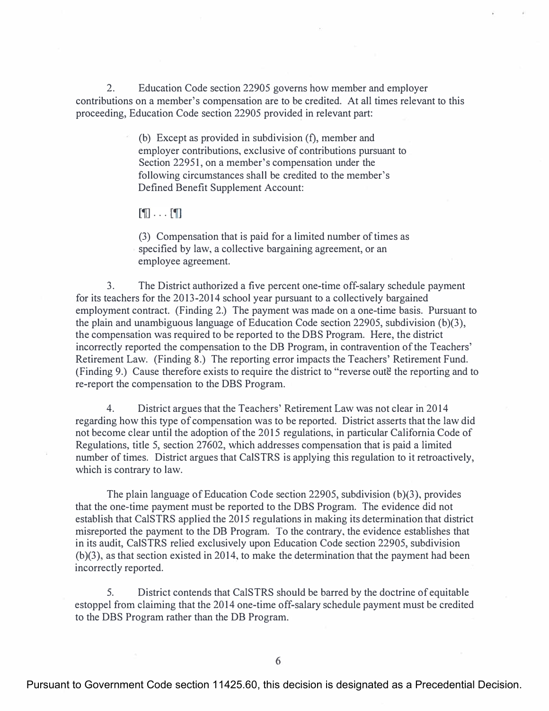**2. Education Code section 22905 governs how member and employer contributions on a member's compensation are to be credited. At all times relevant to this proceeding, Education Code section 22905 provided in relevant part:** 

> **(b) Except as provided in subdivision (f), member and employer contributions, exclusive of contributions pursuant to Section 22951, on a member's compensation under the following circumstances shall be credited to the member's Defined Benefit Supplement Account:**

# $\mathbb{F}$ ... $\mathbb{F}$

**(3) Compensation that is paid for a limited number of times as specified by law, a collective bargaining agreement, or an employee agreement.** 

**3. The District authorized a five percent one-time off-salary schedule payment for its teachers for the 2013-2014 school year pursuant to a collectively bargained employment contract. (Finding 2.) The payment was made on a one-time basis. Pursuant to**  the plain and unambiguous language of Education Code section 22905, subdivision (b)(3), **the compensation was required to be reported to the DBS Program. Here, the district incorrectly reported the compensation to the DB Program, in contravention of the Teachers' Retirement Law. (Finding 8.) The reporting error impacts the Teachers' Retirement Fund.**  (Finding 9.) Cause therefore exists to require the district to "reverse oute" the reporting and to **re-report the compensation to the DBS Program.** 

**4. District argues that the Teachers' Retirement Law was not clear in 2014 regarding how this type of compensation was to be reported. District asserts that the law did not become clear until the adoption of the 2015 regulations, in particular California Code of Regulations, title 5, section 27602, which addresses compensation that is paid a limited number of times. District argues that CalSTRS is applying this regulation to it retroactively, which is contrary to law.** 

**The plain language of Education Code section 22905, subdivision (b)(3), provides that the one-time payment must be reported to the DBS Program. The evidence did not establish that CalSTRS applied the 2015 regulations in making its determination that district misreported the payment to the DB Program. To the contrary, the evidence establishes that in its audit, CalSTRS relied exclusively upon Education Code section 22905, subdivision (b)(3), as that section existed in 2014, to make the determination that the payment had been incorrectly reported.** 

**5. District contends that CalSTRS should be barred by the doctrine of equitable estoppel from claiming that the 2014 one-time off-salary schedule payment must be credited to the DBS Program rather than the DB Program.**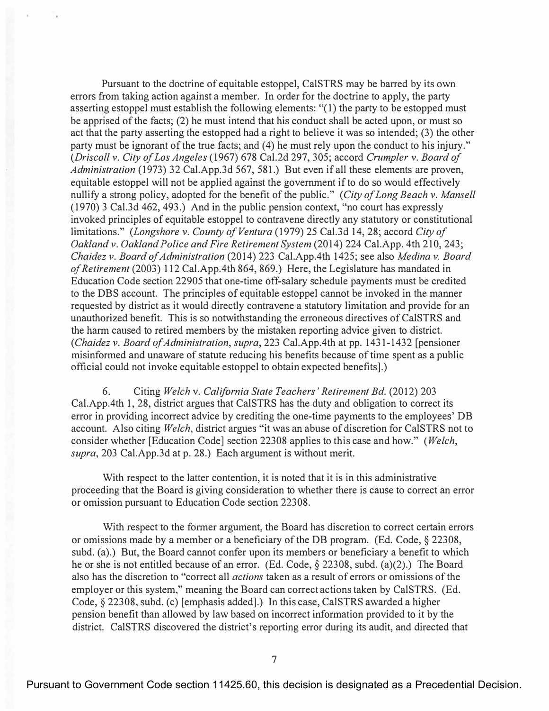Pursuant to the doctrine of equitable estoppel, CalSTRS may be barred by its own errors from taking action against a member. In order for the doctrine to apply, the party asserting estoppel must establish the following elements: "( 1) the party to be estopped must be apprised of the facts; (2) he must intend that his conduct shall be acted upon, or must so act that the party asserting the estopped had a right to believe it was so intended; (3) the other party must be ignorant of the true facts; and (4) he must rely upon the conduct to his injury." *(Driscoll v. City of Los Angeles* (1967) 678 Cal.2d 297,305; accord *Crumpler v. Board of Administration* (1973) 32 [Cal.App.3d](https://Cal.App.3d) 567, 581.) But even if all these elements are proven, equitable estoppel will not be applied against the government if to do so would effectively nullify a strong policy, adopted for the benefit of the public." *(City of Long Beach v. Mansell*  (1970) 3 Cal.3d 462, 493.) And in the public pension context, "no court has expressly invoked principles of equitable estoppel to contravene directly any statutory or constitutional limitations." *(Longshore v. County of Ventura* (1979) 25 Cal.3d 14, 28; accord *City of Oaklandv. Oakland Police and Fire Retirement System* (2014) 224 Cal.App. 4th 210,243; *Chaidez v. Board of Administration* (2014) 223 Cal.App.4th 1425; see also *Medina v. Board of Retirement* (2003) 112 Cal.App.4th 864, 869.) Here, the Legislature has mandated in Education Code section 22905 that one-time off-salary schedule payments must be credited to the DBS account. The principles of equitable estoppel cannot be invoked in the manner requested by district as it would directly contravene a statutory limitation and provide for an unauthorized benefit. This is so notwithstanding the erroneous directives of CalSTRS and the harm caused to retired members by the mistaken reporting advice given to district. *(Chaidez v. Board of Administration, supra, 223 Cal.App.4th at pp. 1431-1432 [pensioner* misinformed and unaware of statute reducing his benefits because of time spent as a public official could not invoke equitable estoppel to obtain expected benefits].)

6. Citing *Welch* v. *California State Teachers' Retirement Bd.* (2012) 203 Cal.App.4th 1, 28, district argues that CalSTRS has the duty and obligation to correct its error in providing incorrect advice by crediting the one-time payments to the employees' DB account. Also citing *Welch,* district argues "it was an abuse of discretion for CalSTRS not to consider whether [Education Code] section 22308 applies to this case and how." ( *Welch, supra,* 203 [Cal.App.3d](https://Cal.App.3d) at p. 28.) Each argument is without merit.

With respect to the latter contention, it is noted that it is in this administrative proceeding that the Board is giving consideration to whether there is cause to correct an error or omission pursuant to Education Code section 22308.

With respect to the former argument, the Board has discretion to correct certain errors or omissions made by a member or a beneficiary of the DB program. (Ed. Code,§ 22308, subd. (a).) But, the Board cannot confer upon its members or beneficiary a benefit to which he or she is not entitled because of an error. (Ed. Code, § 22308, subd. (a)(2).) The Board also has the discretion to "correct all *actions* taken as a result of errors or omissions of the employer or this system," meaning the Board can correct actions taken by CalSTRS. (Ed. Code,§ 22308, subd. (c) [emphasis added].) In this case, CalSTRS awarded a higher pension benefit than allowed by law based on incorrect information provided to it by the district. CalSTRS discovered the district's reporting error during its audit, and directed that